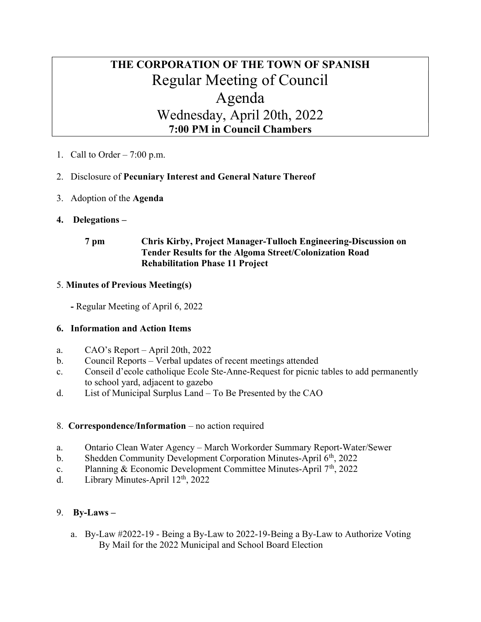# THE CORPORATION OF THE TOWN OF SPANISH Regular Meeting of Council Agenda Wednesday, April 20th, 2022 7:00 PM in Council Chambers

1. Call to Order  $-7:00$  p.m.

# 2. Disclosure of Pecuniary Interest and General Nature Thereof

3. Adoption of the Agenda

# 4. Delegations –

## 7 pm Chris Kirby, Project Manager-Tulloch Engineering-Discussion on Tender Results for the Algoma Street/Colonization Road Rehabilitation Phase 11 Project

## 5. Minutes of Previous Meeting(s)

- Regular Meeting of April 6, 2022

## 6. Information and Action Items

- a. CAO's Report April 20th, 2022
- b. Council Reports Verbal updates of recent meetings attended
- c. Conseil d'ecole catholique Ecole Ste-Anne-Request for picnic tables to add permanently to school yard, adjacent to gazebo
- d. List of Municipal Surplus Land To Be Presented by the CAO

## 8. Correspondence/Information – no action required

- a. Ontario Clean Water Agency March Workorder Summary Report-Water/Sewer
- b. Shedden Community Development Corporation Minutes-April 6<sup>th</sup>, 2022
- c. Planning & Economic Development Committee Minutes-April  $7<sup>th</sup>$ , 2022
- d. Library Minutes-April  $12<sup>th</sup>$ , 2022

## 9. By-Laws –

a. By-Law #2022-19 - Being a By-Law to 2022-19-Being a By-Law to Authorize Voting By Mail for the 2022 Municipal and School Board Election